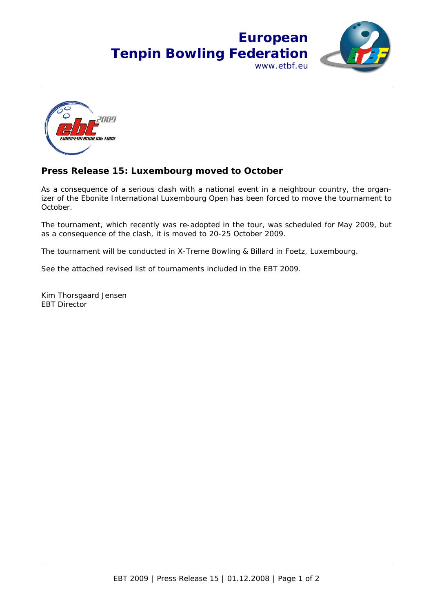## **European Tenpin Bowling Federation** www.etbf.eu





## **Press Release 15: Luxembourg moved to October**

As a consequence of a serious clash with a national event in a neighbour country, the organizer of the Ebonite International Luxembourg Open has been forced to move the tournament to October.

The tournament, which recently was re-adopted in the tour, was scheduled for May 2009, but as a consequence of the clash, it is moved to 20-25 October 2009.

The tournament will be conducted in X-Treme Bowling & Billard in Foetz, Luxembourg.

See the attached revised list of tournaments included in the EBT 2009.

Kim Thorsgaard Jensen EBT Director